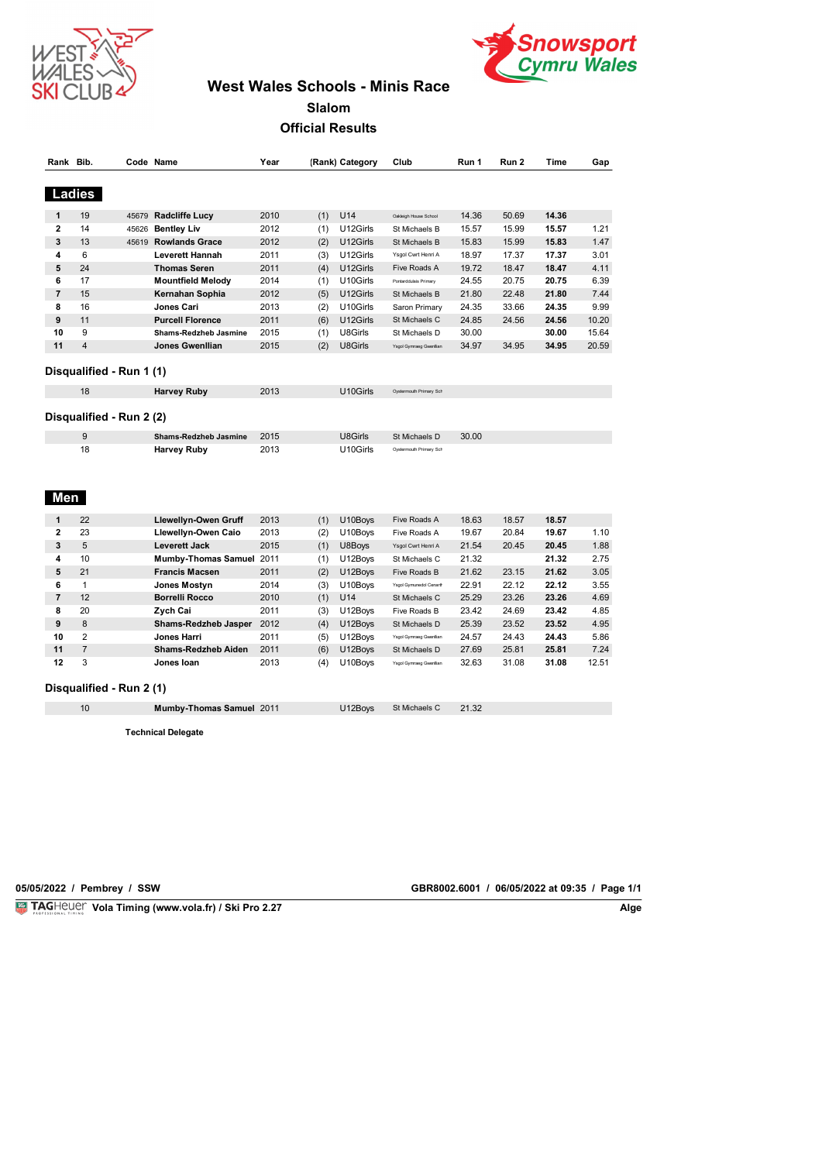



# **West Wales Schools - Minis Race**

**Slalom**

**Official Results**

| Rank Bib.      |                |                          | Code Name                    | Year |     | (Rank) Category | Club                    | Run 1 | Run 2 | Time  | Gap   |
|----------------|----------------|--------------------------|------------------------------|------|-----|-----------------|-------------------------|-------|-------|-------|-------|
|                | Ladies         |                          |                              |      |     |                 |                         |       |       |       |       |
| 1              | 19             | 45679                    | <b>Radcliffe Lucy</b>        | 2010 | (1) | U14             | Oakleigh House School   | 14.36 | 50.69 | 14.36 |       |
| $\overline{2}$ | 14             | 45626                    | <b>Bentley Liv</b>           | 2012 | (1) | U12Girls        | St Michaels B           | 15.57 | 15.99 | 15.57 | 1.21  |
| 3              | 13             | 45619                    | <b>Rowlands Grace</b>        | 2012 | (2) | U12Girls        | St Michaels B           | 15.83 | 15.99 | 15.83 | 1.47  |
| 4              | 6              |                          | Leverett Hannah              | 2011 | (3) | U12Girls        | Ysgol Cwrt Henri A      | 18.97 | 17.37 | 17.37 | 3.01  |
| 5              | 24             |                          | <b>Thomas Seren</b>          | 2011 | (4) | U12Girls        | Five Roads A            | 19.72 | 18.47 | 18.47 | 4.11  |
| 6              | 17             |                          | <b>Mountfield Melody</b>     | 2014 | (1) | U10Girls        | Pontarddulais Primary   | 24.55 | 20.75 | 20.75 | 6.39  |
| 7              | 15             |                          | Kernahan Sophia              | 2012 | (5) | U12Girls        | St Michaels B           | 21.80 | 22.48 | 21.80 | 7.44  |
| 8              | 16             |                          | Jones Cari                   | 2013 | (2) | U10Girls        | Saron Primary           | 24.35 | 33.66 | 24.35 | 9.99  |
| 9              | 11             |                          | <b>Purcell Florence</b>      | 2011 | (6) | U12Girls        | St Michaels C           | 24.85 | 24.56 | 24.56 | 10.20 |
| 10             | 9              |                          | <b>Shams-Redzheb Jasmine</b> | 2015 | (1) | U8Girls         | St Michaels D           | 30.00 |       | 30.00 | 15.64 |
| 11             | 4              |                          | Jones Gwenllian              | 2015 | (2) | U8Girls         | Ysgol Gymraeg Gwenllian | 34.97 | 34.95 | 34.95 | 20.59 |
|                |                |                          |                              |      |     |                 |                         |       |       |       |       |
|                |                | Disqualified - Run 1 (1) |                              |      |     |                 |                         |       |       |       |       |
|                | 18             |                          | <b>Harvey Ruby</b>           | 2013 |     | U10Girls        | Oystermouth Primary Sch |       |       |       |       |
|                | 9              | Disqualified - Run 2 (2) | Shams-Redzheb Jasmine        | 2015 |     | U8Girls         | St Michaels D           | 30.00 |       |       |       |
| Men            | 18             |                          | <b>Harvey Ruby</b>           | 2013 |     | U10Girls        | Oystermouth Primary Sch |       |       |       |       |
| 1              | 22             |                          | Llewellyn-Owen Gruff         | 2013 | (1) | U10Boys         | Five Roads A            | 18.63 | 18.57 | 18.57 |       |
| 2              | 23             |                          | Llewellyn-Owen Caio          | 2013 | (2) | U10Boys         | Five Roads A            | 19.67 | 20.84 | 19.67 | 1.10  |
| 3              | 5              |                          | Leverett Jack                | 2015 | (1) | U8Boys          | Ysgol Cwrt Henri A      | 21.54 | 20.45 | 20.45 | 1.88  |
| 4              | 10             |                          | Mumby-Thomas Samuel 2011     |      | (1) | U12Boys         | St Michaels C           | 21.32 |       | 21.32 | 2.75  |
| 5              | 21             |                          | <b>Francis Macsen</b>        | 2011 | (2) | U12Boys         | Five Roads B            | 21.62 | 23.15 | 21.62 | 3.05  |
| 6              | 1              |                          | Jones Mostyn                 | 2014 | (3) | U10Boys         | Ysgol Gymunedol Cenart  | 22.91 | 22.12 | 22.12 | 3.55  |
| $\overline{7}$ | 12             |                          | <b>Borrelli Rocco</b>        | 2010 | (1) | U14             | St Michaels C           | 25.29 | 23.26 | 23.26 | 4.69  |
| 8              | 20             |                          | Zych Cai                     | 2011 | (3) | U12Boys         | Five Roads B            | 23.42 | 24.69 | 23.42 | 4.85  |
| 9              | 8              |                          | Shams-Redzheb Jasper         | 2012 | (4) | U12Boys         | St Michaels D           | 25.39 | 23.52 | 23.52 | 4.95  |
| 10             | 2              |                          | Jones Harri                  | 2011 | (5) | U12Boys         | Ysgol Gymraeg Gwenllian | 24.57 | 24.43 | 24.43 | 5.86  |
| 11             | $\overline{7}$ |                          | Shams-Redzheb Aiden          | 2011 | (6) | U12Boys         | St Michaels D           | 27.69 | 25.81 | 25.81 | 7.24  |
| 12             | 3              |                          | Jones Ioan                   | 2013 | (4) | U10Boys         | Ysgol Gymraeg Gwenllian | 32.63 | 31.08 | 31.08 | 12.51 |

### **Disqualified - Run 2 (1)**

| 10 | Mumby-Thomas Samuel 2011 | U12Boys St Michaels C 21.32 |  |
|----|--------------------------|-----------------------------|--|

**Technical Delegate**

**Vola Timing (www.vola.fr) / Ski Pro 2.27 Alge Alge Alge Alge Alge Alge Alge** 

**VolaSoftControlPdf 05/05/2022 / Pembrey / SSW GBR8002.6001 / 06/05/2022 at 09:35 / Page 1/1**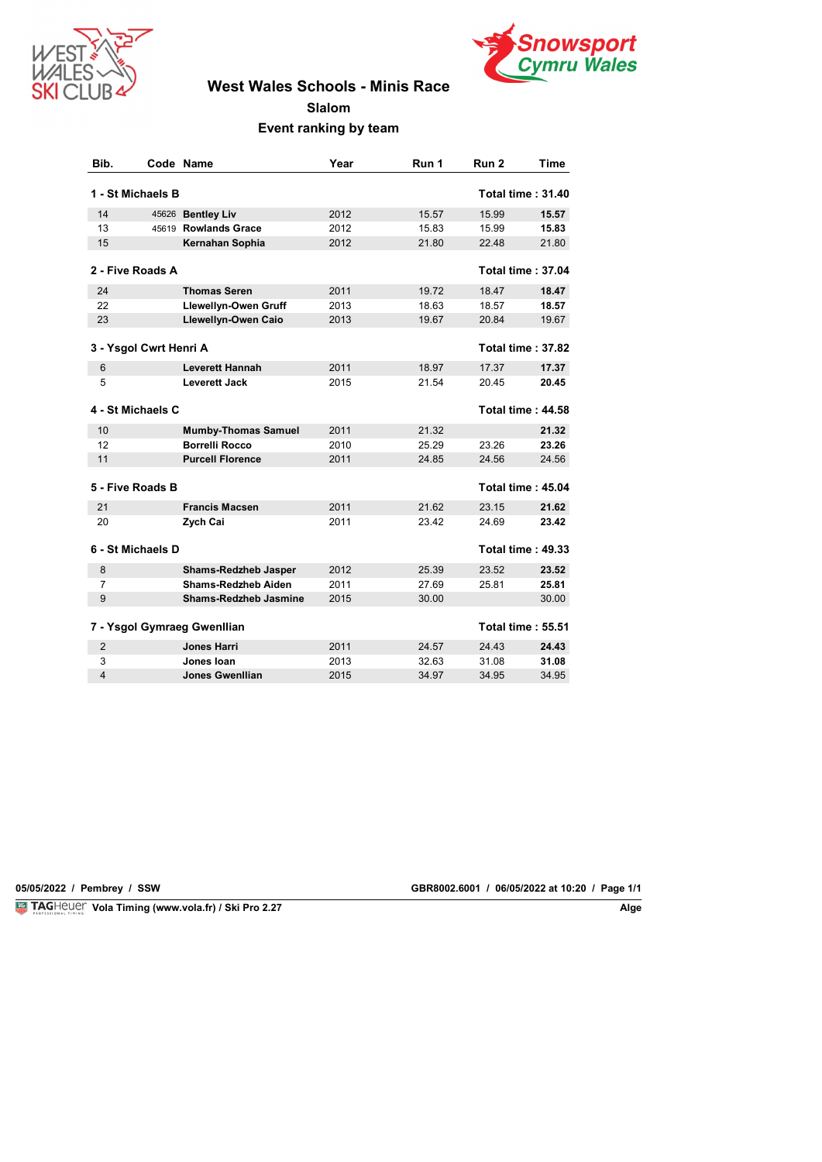



# **West Wales Schools - Minis Race**

**Slalom**

**Event ranking by team**

| Bib.           |                        | Code Name                    | Year | Run 1 | Run <sub>2</sub> | Time                     |
|----------------|------------------------|------------------------------|------|-------|------------------|--------------------------|
|                | 1 - St Michaels B      |                              |      |       |                  | <b>Total time: 31.40</b> |
| 14             |                        | 45626 Bentley Liv            | 2012 | 15.57 | 15.99            | 15.57                    |
| 13             |                        | 45619 Rowlands Grace         | 2012 | 15.83 | 15.99            | 15.83                    |
| 15             |                        | Kernahan Sophia              | 2012 | 21.80 | 22.48            | 21.80                    |
|                | 2 - Five Roads A       |                              |      |       |                  | <b>Total time: 37.04</b> |
| 24             |                        | <b>Thomas Seren</b>          | 2011 | 19.72 | 18.47            | 18.47                    |
| 22             |                        | Llewellyn-Owen Gruff         | 2013 | 18.63 | 18.57            | 18.57                    |
| 23             |                        | Llewellyn-Owen Caio          | 2013 | 19.67 | 20.84            | 19.67                    |
|                | 3 - Ysgol Cwrt Henri A |                              |      |       |                  | Total time: 37.82        |
| 6              |                        | <b>Leverett Hannah</b>       | 2011 | 18.97 | 17.37            | 17.37                    |
| 5              |                        | Leverett Jack                | 2015 | 21.54 | 20.45            | 20.45                    |
|                | 4 - St Michaels C      |                              |      |       |                  | <b>Total time: 44.58</b> |
| 10             |                        | <b>Mumby-Thomas Samuel</b>   | 2011 | 21.32 |                  | 21.32                    |
| 12             |                        | <b>Borrelli Rocco</b>        | 2010 | 25.29 | 23.26            | 23.26                    |
| 11             |                        | <b>Purcell Florence</b>      | 2011 | 24.85 | 24.56            | 24.56                    |
|                | 5 - Five Roads B       |                              |      |       |                  | Total time: 45.04        |
| 21             |                        | <b>Francis Macsen</b>        | 2011 | 21.62 | 23.15            | 21.62                    |
| 20             |                        | Zych Cai                     | 2011 | 23.42 | 24.69            | 23.42                    |
|                | 6 - St Michaels D      |                              |      |       |                  | Total time: 49.33        |
| 8              |                        | <b>Shams-Redzheb Jasper</b>  | 2012 | 25.39 | 23.52            | 23.52                    |
| 7              |                        | Shams-Redzheb Aiden          | 2011 | 27.69 | 25.81            | 25.81                    |
| 9              |                        | <b>Shams-Redzheb Jasmine</b> | 2015 | 30.00 |                  | 30.00                    |
|                |                        | 7 - Ysgol Gymraeg Gwenllian  |      |       |                  | <b>Total time: 55.51</b> |
| $\overline{2}$ |                        | <b>Jones Harri</b>           | 2011 | 24.57 | 24.43            | 24.43                    |
| 3              |                        | Jones Ioan                   | 2013 | 32.63 | 31.08            | 31.08                    |
| 4              |                        | Jones Gwenllian              | 2015 | 34.97 | 34.95            | 34.95                    |

**Vola Timing (www.vola.fr) / Ski Pro 2.27 Alge Alge Alge Alge Alge Alge** 

**VolaSoftControlPdf 05/05/2022 / Pembrey / SSW GBR8002.6001 / 06/05/2022 at 10:20 / Page 1/1**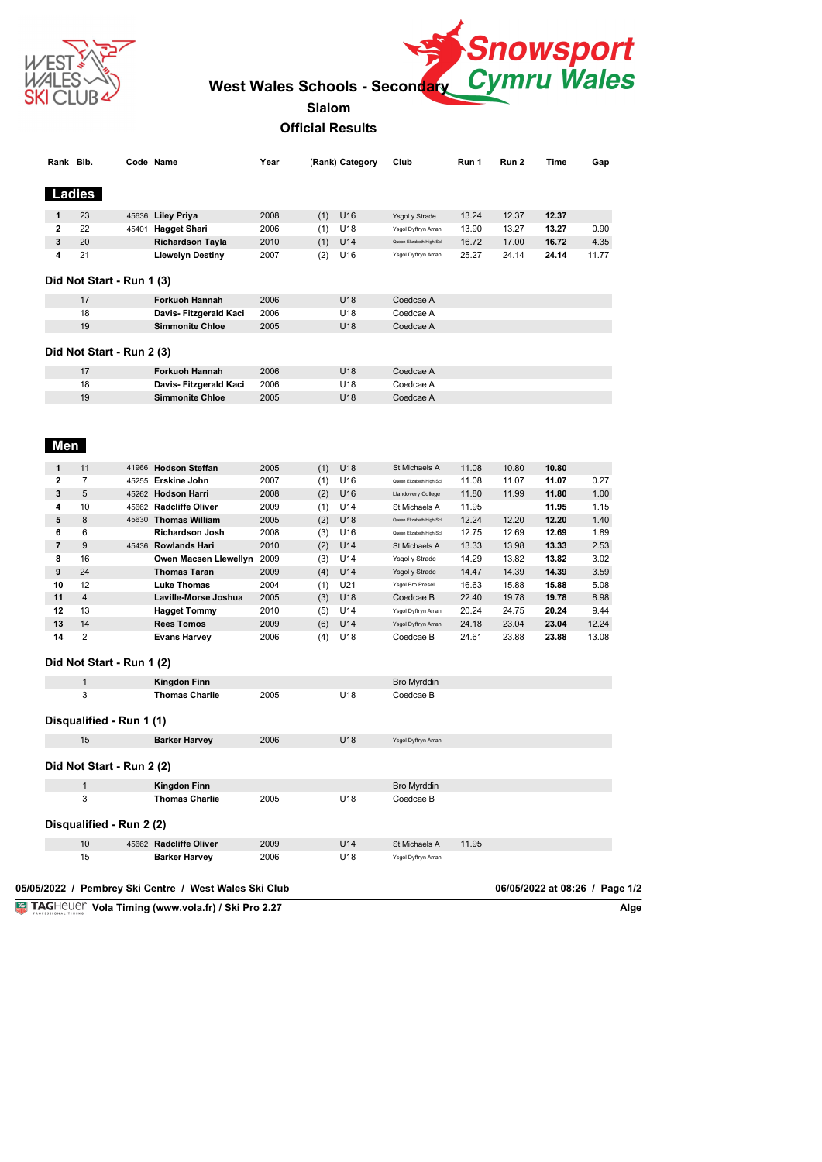



**Official Results**

|                         | Rank Bib.      |                           | Code Name                                             | Year |     | (Rank) Category | Club                     | Run 1 | Run 2 | Time                           | Gap   |
|-------------------------|----------------|---------------------------|-------------------------------------------------------|------|-----|-----------------|--------------------------|-------|-------|--------------------------------|-------|
|                         | Ladies         |                           |                                                       |      |     |                 |                          |       |       |                                |       |
| 1                       | 23             |                           | 45636 Liley Priya                                     | 2008 | (1) | U16             | Ysgol y Strade           | 13.24 | 12.37 | 12.37                          |       |
| $\overline{2}$          | 22             |                           | 45401 Hagget Shari                                    | 2006 | (1) | U18             | Ysgol Dyffryn Aman       | 13.90 | 13.27 | 13.27                          | 0.90  |
| 3                       | 20             |                           | <b>Richardson Tayla</b>                               | 2010 | (1) | U14             | Queen Elizabeth High Scl | 16.72 | 17.00 | 16.72                          | 4.35  |
| 4                       | 21             |                           | <b>Llewelyn Destiny</b>                               | 2007 | (2) | U16             | Ysgol Dyffryn Aman       | 25.27 | 24.14 | 24.14                          | 11.77 |
|                         |                | Did Not Start - Run 1 (3) |                                                       |      |     |                 |                          |       |       |                                |       |
|                         | 17             |                           | Forkuoh Hannah                                        | 2006 |     | U18             | Coedcae A                |       |       |                                |       |
|                         | 18             |                           | Davis- Fitzgerald Kaci                                | 2006 |     | U18             | Coedcae A                |       |       |                                |       |
|                         | 19             |                           | <b>Simmonite Chloe</b>                                | 2005 |     | U18             | Coedcae A                |       |       |                                |       |
|                         |                | Did Not Start - Run 2 (3) |                                                       |      |     |                 |                          |       |       |                                |       |
|                         | 17             |                           | Forkuoh Hannah                                        | 2006 |     | U18             | Coedcae A                |       |       |                                |       |
|                         | 18             |                           |                                                       | 2006 |     | U18             | Coedcae A                |       |       |                                |       |
|                         | 19             |                           | Davis- Fitzgerald Kaci<br><b>Simmonite Chloe</b>      | 2005 |     | U18             | Coedcae A                |       |       |                                |       |
|                         |                |                           |                                                       |      |     |                 |                          |       |       |                                |       |
| Men                     |                |                           |                                                       |      |     |                 |                          |       |       |                                |       |
| 1                       | 11             |                           | 41966 Hodson Steffan                                  | 2005 | (1) | U18             | St Michaels A            | 11.08 | 10.80 | 10.80                          |       |
| $\overline{\mathbf{2}}$ | 7              |                           | 45255 Erskine John                                    | 2007 | (1) | U16             | Queen Elizabeth High Scl | 11.08 | 11.07 | 11.07                          | 0.27  |
| 3                       | 5              |                           | 45262 Hodson Harri                                    | 2008 | (2) | U16             | Llandovery College       | 11.80 | 11.99 | 11.80                          | 1.00  |
| 4                       | 10             |                           | 45662 Radcliffe Oliver                                | 2009 | (1) | U14             | St Michaels A            | 11.95 |       | 11.95                          | 1.15  |
| 5                       | 8              |                           | 45630 Thomas William                                  | 2005 | (2) | U18             | Queen Elizabeth High Scl | 12.24 | 12.20 | 12.20                          | 1.40  |
| 6                       | 6              |                           | <b>Richardson Josh</b>                                | 2008 | (3) | U16             | Queen Elizabeth High Scl | 12.75 | 12.69 | 12.69                          | 1.89  |
| $\overline{7}$          | 9              |                           | 45436 Rowlands Hari                                   | 2010 | (2) | U14             | St Michaels A            | 13.33 | 13.98 | 13.33                          | 2.53  |
| 8                       | 16             |                           | Owen Macsen Llewellyn 2009                            |      | (3) | U14             | Ysgol y Strade           | 14.29 | 13.82 | 13.82                          | 3.02  |
| 9                       | 24             |                           | <b>Thomas Taran</b>                                   | 2009 | (4) | U14             | Ysgol y Strade           | 14.47 | 14.39 | 14.39                          | 3.59  |
| 10                      | 12             |                           | <b>Luke Thomas</b>                                    | 2004 | (1) | U21             | Ysgol Bro Preseli        | 16.63 | 15.88 | 15.88                          | 5.08  |
| 11                      | $\overline{4}$ |                           | Laville-Morse Joshua                                  | 2005 | (3) | U18             | Coedcae B                | 22.40 | 19.78 | 19.78                          | 8.98  |
| 12                      | 13             |                           | <b>Hagget Tommy</b>                                   | 2010 | (5) | U14             | Ysgol Dyffryn Aman       | 20.24 | 24.75 | 20.24                          | 9.44  |
| 13                      | 14             |                           | <b>Rees Tomos</b>                                     | 2009 | (6) | U14             | Ysgol Dyffryn Aman       | 24.18 | 23.04 | 23.04                          | 12.24 |
| 14                      | 2              |                           | <b>Evans Harvey</b>                                   | 2006 | (4) | U18             | Coedcae B                | 24.61 | 23.88 | 23.88                          | 13.08 |
|                         |                | Did Not Start - Run 1 (2) |                                                       |      |     |                 |                          |       |       |                                |       |
|                         | 1              |                           | Kingdon Finn                                          |      |     |                 | <b>Bro Myrddin</b>       |       |       |                                |       |
|                         | 3              |                           | <b>Thomas Charlie</b>                                 | 2005 |     | U18             | Coedcae B                |       |       |                                |       |
|                         |                | Disqualified - Run 1 (1)  |                                                       |      |     |                 |                          |       |       |                                |       |
|                         | 15             |                           | <b>Barker Harvey</b>                                  | 2006 |     | U18             | Ysgol Dyffryn Aman       |       |       |                                |       |
|                         |                | Did Not Start - Run 2 (2) |                                                       |      |     |                 |                          |       |       |                                |       |
|                         | $\mathbf{1}$   |                           | <b>Kingdon Finn</b>                                   |      |     |                 | <b>Bro Myrddin</b>       |       |       |                                |       |
|                         | 3              |                           | <b>Thomas Charlie</b>                                 | 2005 |     | U18             | Coedcae B                |       |       |                                |       |
|                         |                | Disqualified - Run 2 (2)  |                                                       |      |     |                 |                          |       |       |                                |       |
|                         | 10             |                           | 45662 Radcliffe Oliver                                | 2009 |     | U14             | St Michaels A            | 11.95 |       |                                |       |
|                         | 15             |                           | <b>Barker Harvey</b>                                  | 2006 |     | U18             | Ysgol Dyffryn Aman       |       |       |                                |       |
|                         |                |                           | 05/05/2022 / Pembrey Ski Centre / West Wales Ski Club |      |     |                 |                          |       |       | 06/05/2022 at 08:26 / Page 1/2 |       |
|                         |                |                           | TAGHeuer Vola Timing (www.vola.fr) / Ski Pro 2.27     |      |     |                 |                          |       |       |                                |       |

**Vola Timing (www.vola.fr) / Ski Pro 2.27**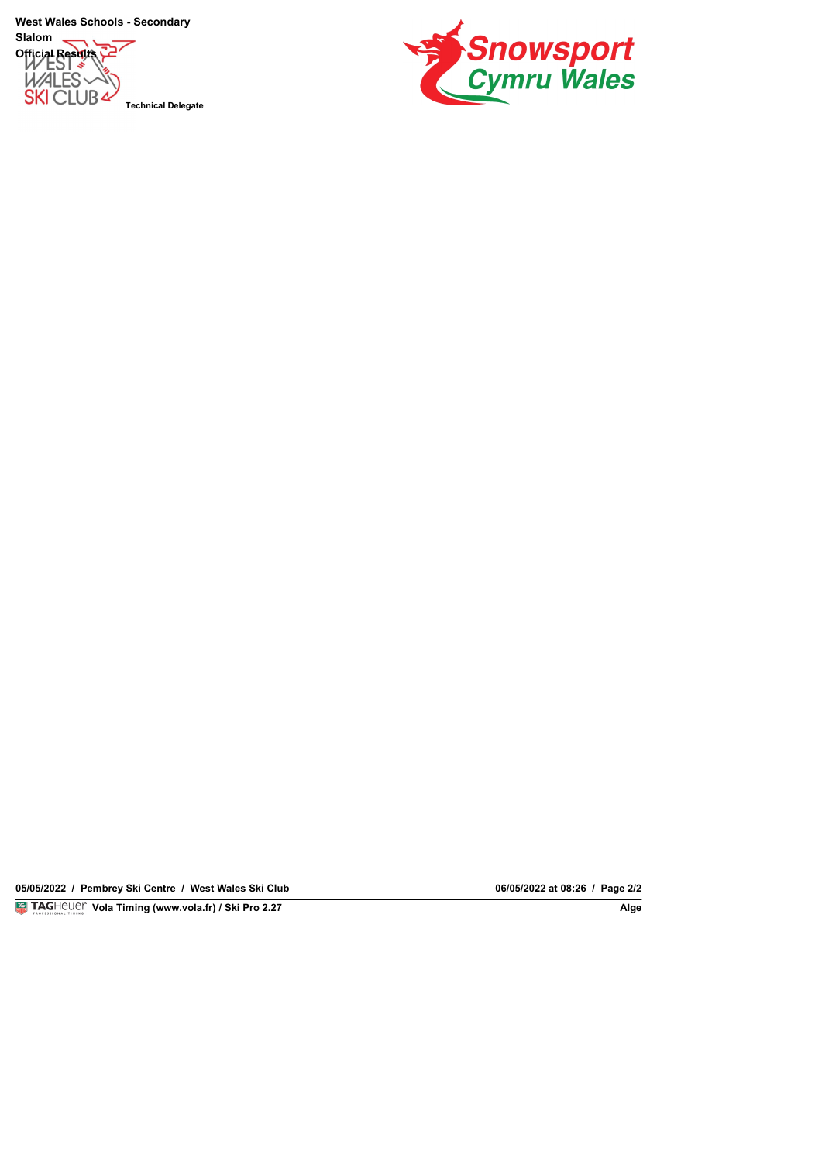**West Wales Schools - Secondary**

**Slalom Official Results**<br>
MALES **SKI CLUB4** 

**Technical Delegate**



**05/05/2022 / Pembrey Ski Centre / West Wales Ski Club 06/05/2022 at 08:26 / Page 2/2**

**Vola Timing (www.vola.fr) / Ski Pro 2.27** 

06/05/2022 at 08:26 / Page 2/2<br>Alge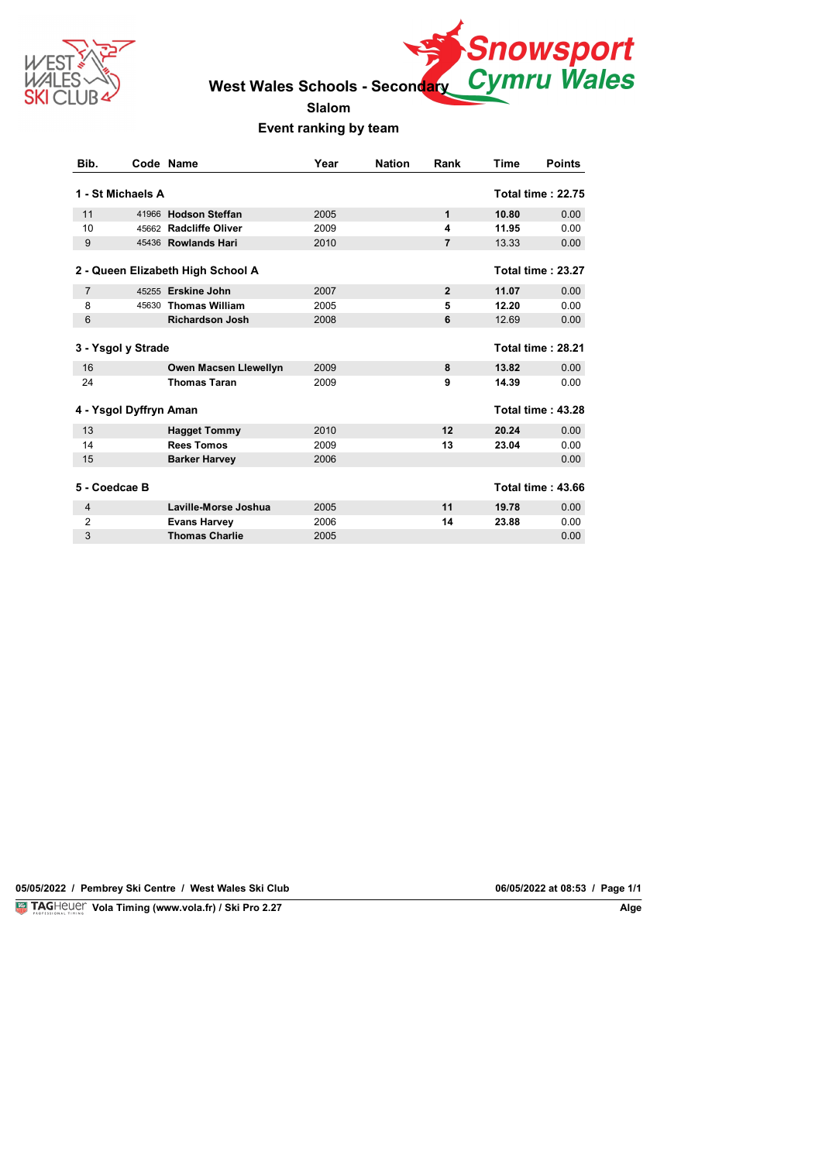



**Slalom**

#### **Event ranking by team**

| Bib.           |                        | Code Name                         | Year | <b>Nation</b> | Rank           | Time  | <b>Points</b>            |
|----------------|------------------------|-----------------------------------|------|---------------|----------------|-------|--------------------------|
|                | 1 - St Michaels A      |                                   |      |               |                |       | <b>Total time: 22.75</b> |
| 11             |                        | 41966 Hodson Steffan              | 2005 |               | 1              | 10.80 | 0.00                     |
| 10             |                        | 45662 Radcliffe Oliver            | 2009 |               | 4              | 11.95 | 0.00                     |
| 9              |                        | 45436 Rowlands Hari               | 2010 |               | $\overline{7}$ | 13.33 | 0.00                     |
|                |                        |                                   |      |               |                |       |                          |
|                |                        | 2 - Queen Elizabeth High School A |      |               |                |       | Total time: 23.27        |
| $\overline{7}$ |                        | 45255 Erskine John                | 2007 |               | $\overline{2}$ | 11.07 | 0.00                     |
| 8              |                        | 45630 Thomas William              | 2005 |               | 5              | 12.20 | 0.00                     |
| 6              |                        | <b>Richardson Josh</b>            | 2008 |               | 6              | 12.69 | 0.00                     |
|                | 3 - Ysgol y Strade     |                                   |      |               |                |       | Total time: 28.21        |
| 16             |                        | Owen Macsen Llewellyn             | 2009 |               | 8              | 13.82 | 0.00                     |
| 24             |                        | <b>Thomas Taran</b>               | 2009 |               | 9              | 14.39 | 0.00                     |
|                | 4 - Ysgol Dyffryn Aman |                                   |      |               |                |       | <b>Total time: 43.28</b> |
| 13             |                        | <b>Hagget Tommy</b>               | 2010 |               | 12             | 20.24 | 0.00                     |
| 14             |                        | <b>Rees Tomos</b>                 | 2009 |               | 13             | 23.04 | 0.00                     |
| 15             |                        | <b>Barker Harvey</b>              | 2006 |               |                |       | 0.00                     |
| 5 - Coedcae B  |                        |                                   |      |               |                |       | <b>Total time: 43.66</b> |
| 4              |                        | Laville-Morse Joshua              | 2005 |               | 11             | 19.78 | 0.00                     |
| $\overline{2}$ |                        | <b>Evans Harvey</b>               | 2006 |               | 14             | 23.88 | 0.00                     |
| 3              |                        | <b>Thomas Charlie</b>             | 2005 |               |                |       | 0.00                     |

**05/05/2022 / Pembrey Ski Centre / West Wales Ski Club 06/05/2022 at 08:53 / Page 1/1**

**Vola Timing (www.vola.fr) / Ski Pro 2.27** 

06/05/2022 at 08:53 / Page 1/1<br>Alge